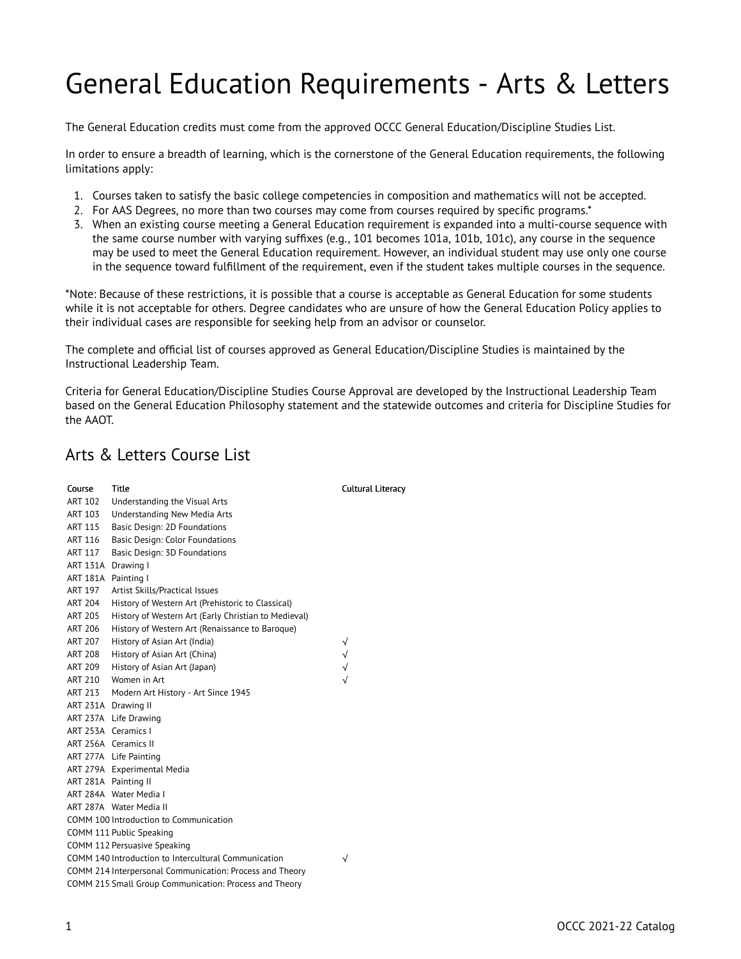## General Education Requirements - Arts & Letters

The General Education credits must come from the approved OCCC General Education/Discipline Studies List.

In order to ensure a breadth of learning, which is the cornerstone of the General Education requirements, the following limitations apply:

- 1. Courses taken to satisfy the basic college competencies in composition and mathematics will not be accepted.
- 2. For AAS Degrees, no more than two courses may come from courses required by specific programs.\*
- 3. When an existing course meeting a General Education requirement is expanded into a multi-course sequence with the same course number with varying suffixes (e.g., 101 becomes 101a, 101b, 101c), any course in the sequence may be used to meet the General Education requirement. However, an individual student may use only one course in the sequence toward fulfillment of the requirement, even if the student takes multiple courses in the sequence.

\*Note: Because of these restrictions, it is possible that a course is acceptable as General Education for some students while it is not acceptable for others. Degree candidates who are unsure of how the General Education Policy applies to their individual cases are responsible for seeking help from an advisor or counselor.

The complete and official list of courses approved as General Education/Discipline Studies is maintained by the Instructional Leadership Team.

Criteria for General Education/Discipline Studies Course Approval are developed by the Instructional Leadership Team based on the General Education Philosophy statement and the statewide outcomes and criteria for Discipline Studies for the AAOT.

## Arts & Letters Course List

| Course              | <b>Title</b>                                             | <b>Cultural Literacy</b> |
|---------------------|----------------------------------------------------------|--------------------------|
| <b>ART 102</b>      | Understanding the Visual Arts                            |                          |
| <b>ART 103</b>      | Understanding New Media Arts                             |                          |
| <b>ART 115</b>      | Basic Design: 2D Foundations                             |                          |
| <b>ART 116</b>      | Basic Design: Color Foundations                          |                          |
| ART 117             | Basic Design: 3D Foundations                             |                          |
| ART 131A Drawing I  |                                                          |                          |
| ART 181A Painting I |                                                          |                          |
| <b>ART 197</b>      | Artist Skills/Practical Issues                           |                          |
| <b>ART 204</b>      | History of Western Art (Prehistoric to Classical)        |                          |
| ART 205             | History of Western Art (Early Christian to Medieval)     |                          |
| <b>ART 206</b>      | History of Western Art (Renaissance to Baroque)          |                          |
| ART 207             | History of Asian Art (India)                             | √                        |
| <b>ART 208</b>      | History of Asian Art (China)                             | $\sqrt{}$                |
| <b>ART 209</b>      | History of Asian Art (Japan)                             | $\sqrt{}$                |
| <b>ART 210</b>      | Women in Art                                             | √                        |
| ART 213             | Modern Art History - Art Since 1945                      |                          |
|                     | ART 231A Drawing II                                      |                          |
|                     | ART 237A Life Drawing                                    |                          |
|                     | ART 253A Ceramics I                                      |                          |
|                     | ART 256A Ceramics II                                     |                          |
|                     | ART 277A Life Painting                                   |                          |
|                     | ART 279A Experimental Media                              |                          |
|                     | ART 281A Painting II                                     |                          |
|                     | ART 284A Water Media I                                   |                          |
|                     | ART 287A Water Media II                                  |                          |
|                     | COMM 100 Introduction to Communication                   |                          |
|                     | COMM 111 Public Speaking                                 |                          |
|                     | COMM 112 Persuasive Speaking                             |                          |
|                     | COMM 140 Introduction to Intercultural Communication     | √                        |
|                     | COMM 214 Interpersonal Communication: Process and Theory |                          |
|                     | COMM 215 Small Group Communication: Process and Theory   |                          |

1 OCCC 2021-22 Catalog